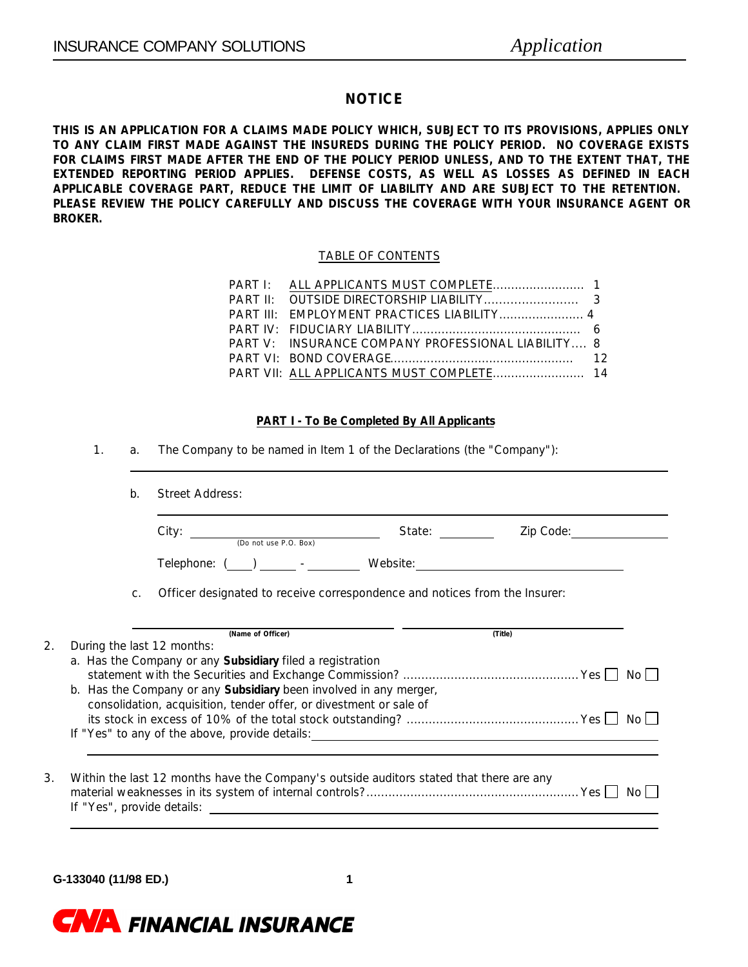### **NOTICE**

**THIS IS AN APPLICATION FOR A CLAIMS MADE POLICY WHICH, SUBJECT TO ITS PROVISIONS, APPLIES ONLY TO ANY CLAIM FIRST MADE AGAINST THE INSUREDS DURING THE POLICY PERIOD. NO COVERAGE EXISTS FOR CLAIMS FIRST MADE AFTER THE END OF THE POLICY PERIOD UNLESS, AND TO THE EXTENT THAT, THE EXTENDED REPORTING PERIOD APPLIES. DEFENSE COSTS, AS WELL AS LOSSES AS DEFINED IN EACH APPLICABLE COVERAGE PART, REDUCE THE LIMIT OF LIABILITY AND ARE SUBJECT TO THE RETENTION. PLEASE REVIEW THE POLICY CAREFULLY AND DISCUSS THE COVERAGE WITH YOUR INSURANCE AGENT OR BROKER.**

### TABLE OF CONTENTS

| PART V: INSURANCE COMPANY PROFESSIONAL LIABILITY 8 |  |
|----------------------------------------------------|--|
|                                                    |  |
|                                                    |  |

### **PART I - To Be Completed By All Applicants**

1. a. The Company to be named in Item 1 of the Declarations (the "Company"):

|       | $City:$ (Do not use P.O. Box)                                                                                                         | State: _________ | Zip Code: |
|-------|---------------------------------------------------------------------------------------------------------------------------------------|------------------|-----------|
|       | Telephone: ( ) - Website:                                                                                                             |                  |           |
| $C$ . | Officer designated to receive correspondence and notices from the Insurer:                                                            |                  |           |
|       | (Name of Officer)<br>During the last 12 months:                                                                                       |                  | (Title)   |
|       | a. Has the Company or any <b>Subsidiary</b> filed a registration<br>b. Has the Company or any Subsidiary been involved in any merger, |                  |           |
|       | consolidation, acquisition, tender offer, or divestment or sale of                                                                    |                  |           |

**G-133040 (11/98 ED.) 1**

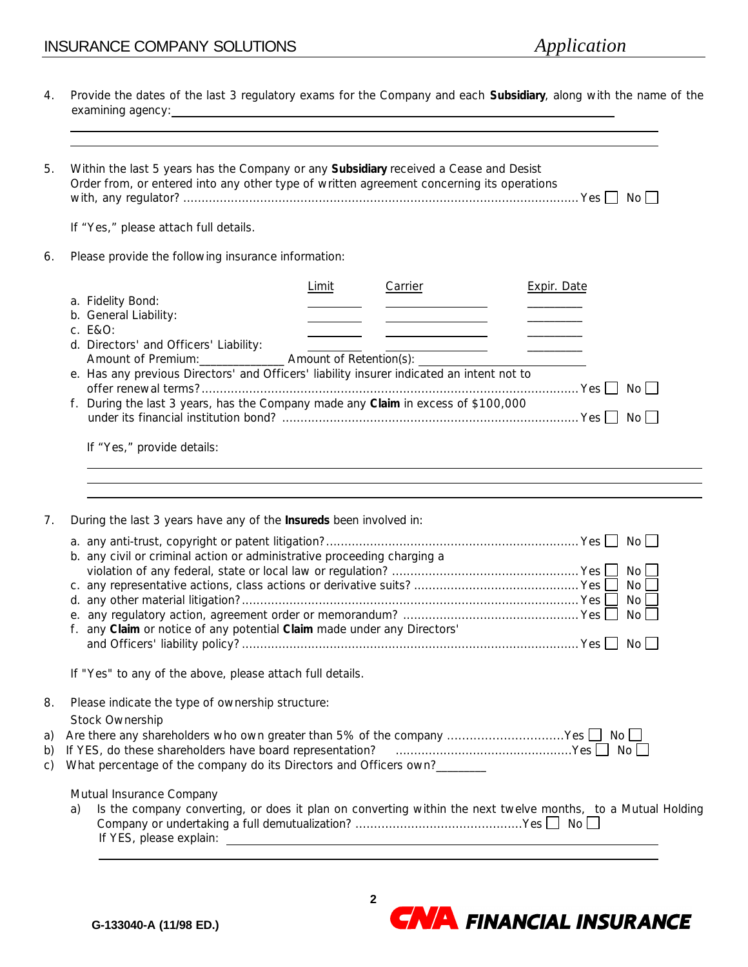# INSURANCE COMPANY SOLUTIONS *Application*

| 4.             | Provide the dates of the last 3 regulatory exams for the Company and each Subsidiary, along with the name of the<br>examining agency: examining agency:                                                                                                                                                                                                                         |
|----------------|---------------------------------------------------------------------------------------------------------------------------------------------------------------------------------------------------------------------------------------------------------------------------------------------------------------------------------------------------------------------------------|
| 5.             | Within the last 5 years has the Company or any Subsidiary received a Cease and Desist<br>Order from, or entered into any other type of written agreement concerning its operations                                                                                                                                                                                              |
|                | If "Yes," please attach full details.                                                                                                                                                                                                                                                                                                                                           |
| 6.             | Please provide the following insurance information:                                                                                                                                                                                                                                                                                                                             |
|                | Limit<br>Carrier<br><b>Expir. Date</b><br>a. Fidelity Bond:<br>b. General Liability:<br><u> The Common School (1989)</u><br>c. E&O:                                                                                                                                                                                                                                             |
|                | d. Directors' and Officers' Liability:<br>$\overline{\phantom{a}}$<br>Amount of Premium: __________________ Amount of Retention(s): ___________<br>e. Has any previous Directors' and Officers' liability insurer indicated an intent not to<br>f. During the last 3 years, has the Company made any Claim in excess of \$100,000                                               |
|                | If "Yes," provide details:                                                                                                                                                                                                                                                                                                                                                      |
| 7.             | During the last 3 years have any of the <b>Insureds</b> been involved in:                                                                                                                                                                                                                                                                                                       |
|                | b. any civil or criminal action or administrative proceeding charging a<br>No<br>No <sub>l</sub><br>No l<br>No <sub>1</sub><br>f. any Claim or notice of any potential Claim made under any Directors'<br>$No$ $\Box$                                                                                                                                                           |
|                | If "Yes" to any of the above, please attach full details.                                                                                                                                                                                                                                                                                                                       |
| 8.             | Please indicate the type of ownership structure:<br>Stock Ownership                                                                                                                                                                                                                                                                                                             |
| a)<br>b)<br>C) | Are there any shareholders who own greater than 5% of the company Yes<br>No II<br>If YES, do these shareholders have board representation?<br>What percentage of the company do its Directors and Officers own?                                                                                                                                                                 |
|                | Mutual Insurance Company<br>Is the company converting, or does it plan on converting within the next twelve months, to a Mutual Holding<br>a)<br>If YES, please explain: The state of the state of the state of the state of the state of the state of the state of the state of the state of the state of the state of the state of the state of the state of the state of the |

**CNA** FINANCIAL INSURANCE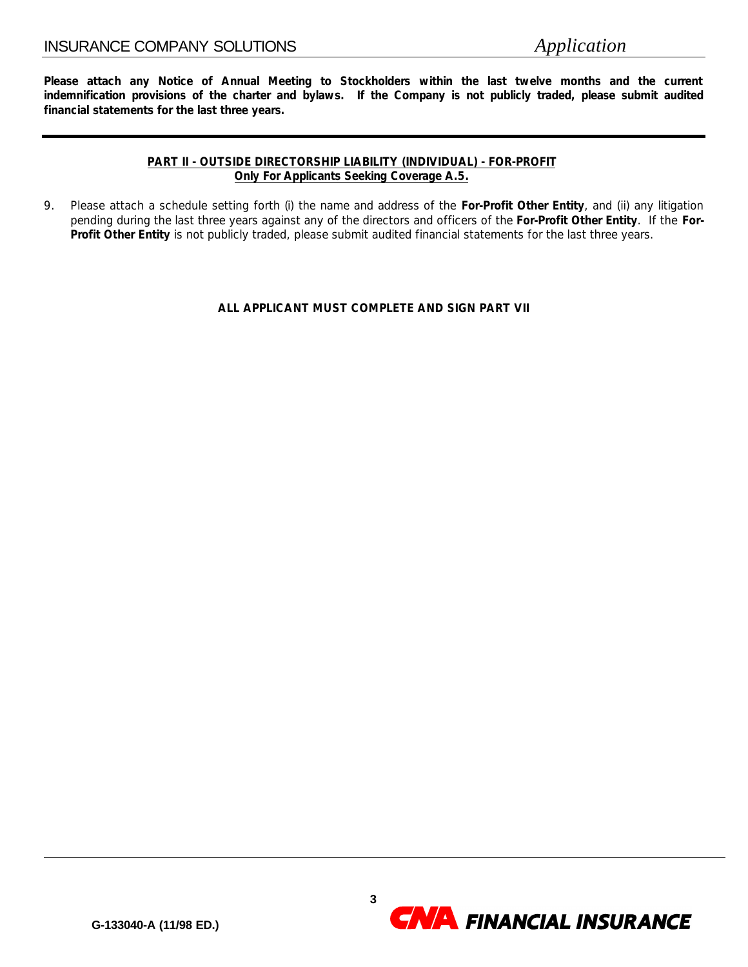**Please attach any Notice of Annual Meeting to Stockholders within the last twelve months and the current indemnification provisions of the charter and bylaws. If the Company is not publicly traded, please submit audited financial statements for the last three years.**

### **PART II - OUTSIDE DIRECTORSHIP LIABILITY (INDIVIDUAL) - FOR-PROFIT Only For Applicants Seeking Coverage A.5.**

9. Please attach a schedule setting forth (i) the name and address of the **For-Profit Other Entity**, and (ii) any litigation pending during the last three years against any of the directors and officers of the **For-Profit Other Entity**. If the **For-Profit Other Entity** is not publicly traded, please submit audited financial statements for the last three years.

### **ALL APPLICANT MUST COMPLETE AND SIGN PART VII**

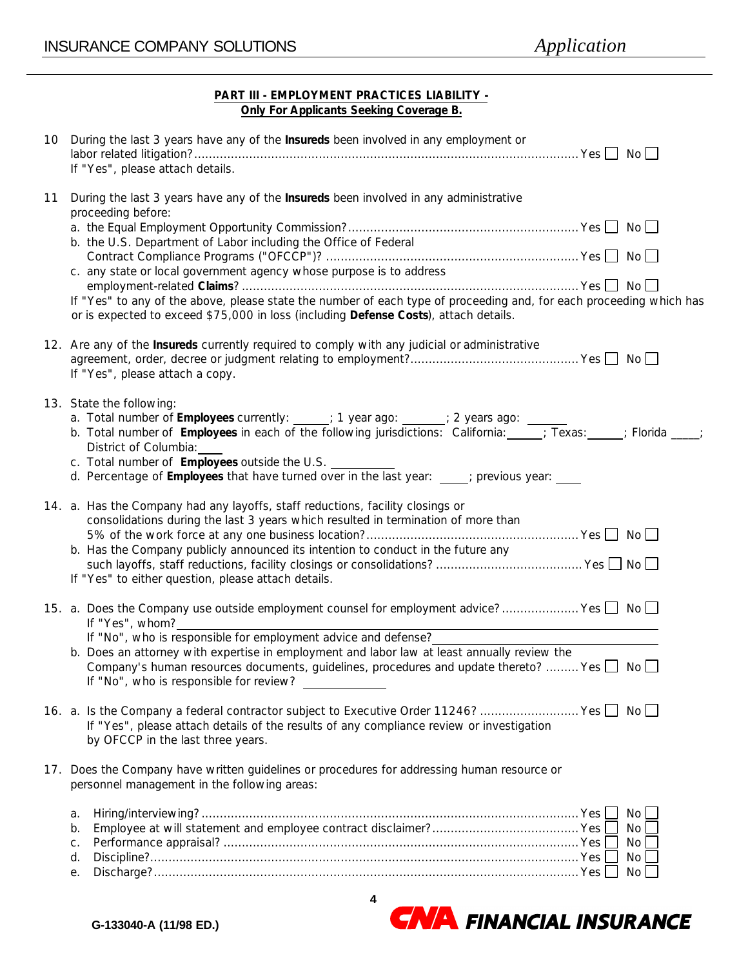### **PART III - EMPLOYMENT PRACTICES LIABILITY - Only For Applicants Seeking Coverage B.**

|    | 10 During the last 3 years have any of the Insureds been involved in any employment or<br>If "Yes", please attach details.                                                                                                                                                                                                                                                                                       |                             |
|----|------------------------------------------------------------------------------------------------------------------------------------------------------------------------------------------------------------------------------------------------------------------------------------------------------------------------------------------------------------------------------------------------------------------|-----------------------------|
| 11 | During the last 3 years have any of the <b>Insureds</b> been involved in any administrative<br>proceeding before:                                                                                                                                                                                                                                                                                                |                             |
|    | b. the U.S. Department of Labor including the Office of Federal                                                                                                                                                                                                                                                                                                                                                  |                             |
|    | c. any state or local government agency whose purpose is to address                                                                                                                                                                                                                                                                                                                                              |                             |
|    | If "Yes" to any of the above, please state the number of each type of proceeding and, for each proceeding which has<br>or is expected to exceed \$75,000 in loss (including Defense Costs), attach details.                                                                                                                                                                                                      |                             |
|    | 12. Are any of the <b>Insureds</b> currently required to comply with any judicial or administrative<br>If "Yes", please attach a copy.                                                                                                                                                                                                                                                                           |                             |
|    | 13. State the following:<br>a. Total number of Employees currently: ____; 1 year ago: ____; 2 years ago: _____<br>b. Total number of <b>Employees</b> in each of the following jurisdictions: California: ; Texas: ; Florida ___;<br>District of Columbia:<br>c. Total number of <b>Employees</b> outside the U.S.<br>d. Percentage of Employees that have turned over in the last year: ___; previous year: ___ |                             |
|    | 14. a. Has the Company had any layoffs, staff reductions, facility closings or<br>consolidations during the last 3 years which resulted in termination of more than<br>b. Has the Company publicly announced its intention to conduct in the future any<br>If "Yes" to either question, please attach details.                                                                                                   |                             |
|    | 15. a. Does the Company use outside employment counsel for employment advice?  Yes   No<br>If "Yes", whom?                                                                                                                                                                                                                                                                                                       |                             |
|    | If "No", who is responsible for employment advice and defense?<br>b. Does an attorney with expertise in employment and labor law at least annually review the<br>Company's human resources documents, guidelines, procedures and update thereto?  Yes $\Box$ No $\Box$<br>If "No", who is responsible for review?                                                                                                |                             |
|    | 16. a. Is the Company a federal contractor subject to Executive Order 11246?  Yes □ No □<br>If "Yes", please attach details of the results of any compliance review or investigation<br>by OFCCP in the last three years.                                                                                                                                                                                        |                             |
|    | 17. Does the Company have written guidelines or procedures for addressing human resource or<br>personnel management in the following areas:                                                                                                                                                                                                                                                                      |                             |
|    | а.<br>b.<br>С.<br>d.<br>е.                                                                                                                                                                                                                                                                                                                                                                                       | No<br>No.<br>No<br>No<br>No |

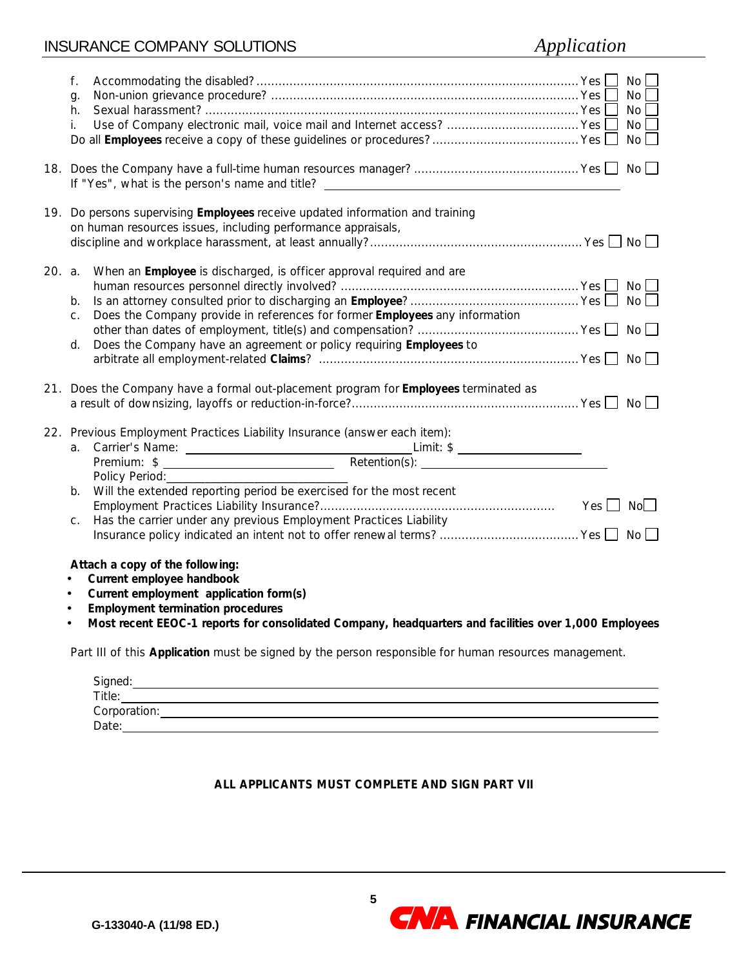# INSURANCE COMPANY SOLUTIONS *Application*

| f.<br>g.<br>h.<br>i.                                                                                                                                                                                                                                                                                                                                                                                                                                                                                                                                                                                                            | No<br>No<br>No<br>No<br>No |
|---------------------------------------------------------------------------------------------------------------------------------------------------------------------------------------------------------------------------------------------------------------------------------------------------------------------------------------------------------------------------------------------------------------------------------------------------------------------------------------------------------------------------------------------------------------------------------------------------------------------------------|----------------------------|
| If "Yes", what is the person's name and title?                                                                                                                                                                                                                                                                                                                                                                                                                                                                                                                                                                                  |                            |
| 19. Do persons supervising Employees receive updated information and training<br>on human resources issues, including performance appraisals,                                                                                                                                                                                                                                                                                                                                                                                                                                                                                   |                            |
| When an Employee is discharged, is officer approval required and are<br>20. a.<br>b.<br>Does the Company provide in references for former <b>Employees</b> any information<br>C.<br>Does the Company have an agreement or policy requiring Employees to<br>d.                                                                                                                                                                                                                                                                                                                                                                   |                            |
| 21. Does the Company have a formal out-placement program for Employees terminated as                                                                                                                                                                                                                                                                                                                                                                                                                                                                                                                                            |                            |
| 22. Previous Employment Practices Liability Insurance (answer each item):<br>Carrier's Name:  Carrier's Name:  Carrier's Name:  Carrier's Name:  Carrier's Name:  Carrier's Name:  Carrier's Name:  Carrier's Name:  Carrier's Name:  Carrier's Name:  Carrier's Name:  Carrier's Name:  Carrier's Name:  C<br>a.<br>Will the extended reporting period be exercised for the most recent<br>b.<br>Has the carrier under any previous Employment Practices Liability<br>С.<br>Attach a copy of the following:<br>Current employee handbook<br>Current employment application form(s)<br><b>Employment termination procedures</b> |                            |
| $\bullet$<br>Most recent EEOC-1 reports for consolidated Company, headquarters and facilities over 1,000 Employees<br>$\bullet$                                                                                                                                                                                                                                                                                                                                                                                                                                                                                                 |                            |
| Part III of this Application must be signed by the person responsible for human resources management.                                                                                                                                                                                                                                                                                                                                                                                                                                                                                                                           |                            |

| Signed:      |  |  |
|--------------|--|--|
| Title:       |  |  |
| Corporation: |  |  |
| Date:        |  |  |

### **ALL APPLICANTS MUST COMPLETE AND SIGN PART VII**

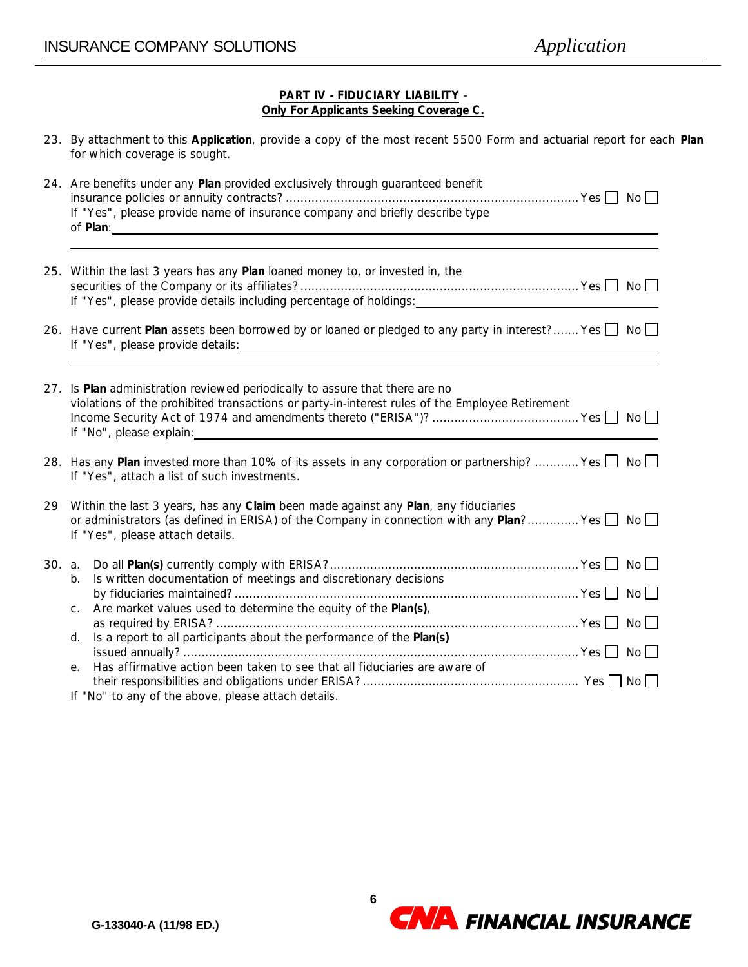### **PART IV - FIDUCIARY LIABILITY** - **Only For Applicants Seeking Coverage C.**

| 23. By attachment to this Application, provide a copy of the most recent 5500 Form and actuarial report for each Plan |  |  |  |  |  |
|-----------------------------------------------------------------------------------------------------------------------|--|--|--|--|--|
| for which coverage is sought.                                                                                         |  |  |  |  |  |

|        |         | 24. Are benefits under any Plan provided exclusively through guaranteed benefit<br>If "Yes", please provide name of insurance company and briefly describe type                                                                                                           |
|--------|---------|---------------------------------------------------------------------------------------------------------------------------------------------------------------------------------------------------------------------------------------------------------------------------|
|        |         | of <b>Plan</b> :<br><u> 1989 - Jan Samuel Barbara, margaret e populari e populari e populari e populari e populari e populari e popu</u>                                                                                                                                  |
|        |         | 25. Within the last 3 years has any Plan loaned money to, or invested in, the                                                                                                                                                                                             |
|        |         | 26. Have current Plan assets been borrowed by or loaned or pledged to any party in interest? Yes □ No □<br>If "Yes", please provide details:<br><u> 1989 - Johann Stoff, deutscher Stoff, der Stoff, der Stoff, der Stoff, der Stoff, der Stoff, der Stoff, der S</u>     |
|        |         | 27. Is Plan administration reviewed periodically to assure that there are no<br>violations of the prohibited transactions or party-in-interest rules of the Employee Retirement<br>If "No", please explain:<br><u> 1980 - John Stein, Amerikaansk politiker (</u> † 1920) |
|        |         | 28. Has any <b>Plan</b> invested more than 10% of its assets in any corporation or partnership?  Yes □ No □<br>If "Yes", attach a list of such investments.                                                                                                               |
| 29     |         | Within the last 3 years, has any Claim been made against any Plan, any fiduciaries<br>or administrators (as defined in ERISA) of the Company in connection with any Plan? Yes $\Box$ No $\Box$<br>If "Yes", please attach details.                                        |
| 30. a. | b.      | Is written documentation of meetings and discretionary decisions                                                                                                                                                                                                          |
|        | $C_{1}$ | Are market values used to determine the equity of the Plan(s),                                                                                                                                                                                                            |
|        | d.      | Is a report to all participants about the performance of the Plan(s)                                                                                                                                                                                                      |
|        | е.      | Has affirmative action been taken to see that all fiduciaries are aware of                                                                                                                                                                                                |

If "No" to any of the above, please attach details.

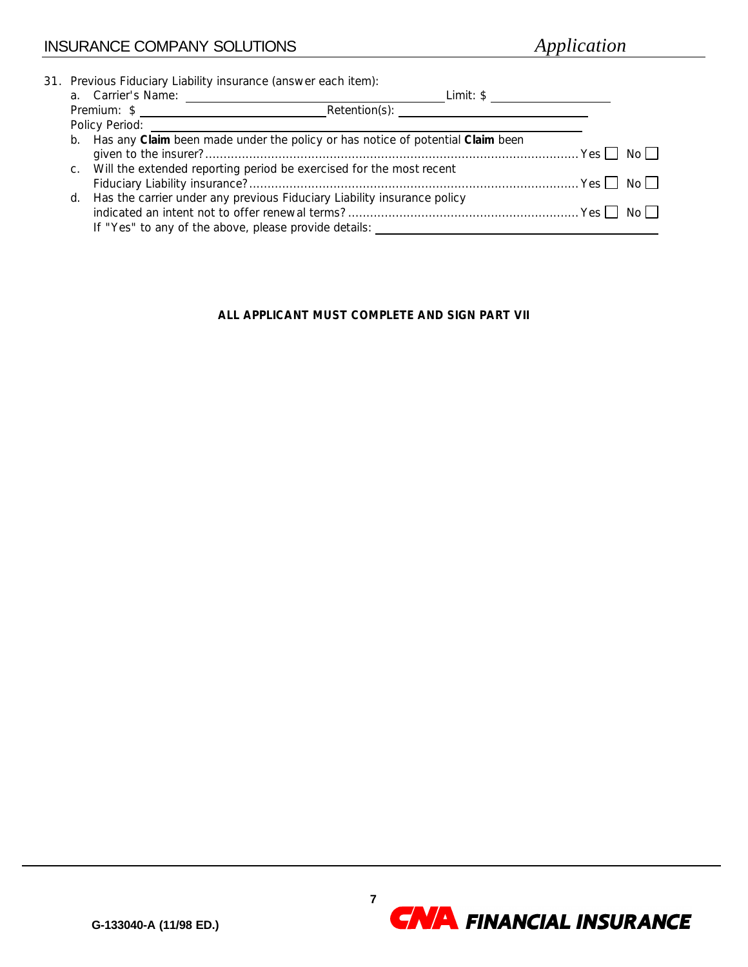|  | 31. Previous Fiduciary Liability insurance (answer each item):                                                                                                                                                                               |     |      |
|--|----------------------------------------------------------------------------------------------------------------------------------------------------------------------------------------------------------------------------------------------|-----|------|
|  | a. Carrier's Name:<br>Limit: \$                                                                                                                                                                                                              |     |      |
|  | Retention(s): The contract of the contract of the contract of the contract of the contract of the contract of the contract of the contract of the contract of the contract of the contract of the contract of the contract of<br>Premium: \$ |     |      |
|  | Policy Period:                                                                                                                                                                                                                               |     |      |
|  | b. Has any Claim been made under the policy or has notice of potential Claim been                                                                                                                                                            |     |      |
|  |                                                                                                                                                                                                                                              | Yes | No L |
|  | c. Will the extended reporting period be exercised for the most recent                                                                                                                                                                       |     |      |
|  |                                                                                                                                                                                                                                              |     | No I |
|  | d. Has the carrier under any previous Fiduciary Liability insurance policy                                                                                                                                                                   |     |      |
|  |                                                                                                                                                                                                                                              |     |      |
|  | If "Yes" to any of the above, please provide details:                                                                                                                                                                                        |     |      |

### **ALL APPLICANT MUST COMPLETE AND SIGN PART VII**

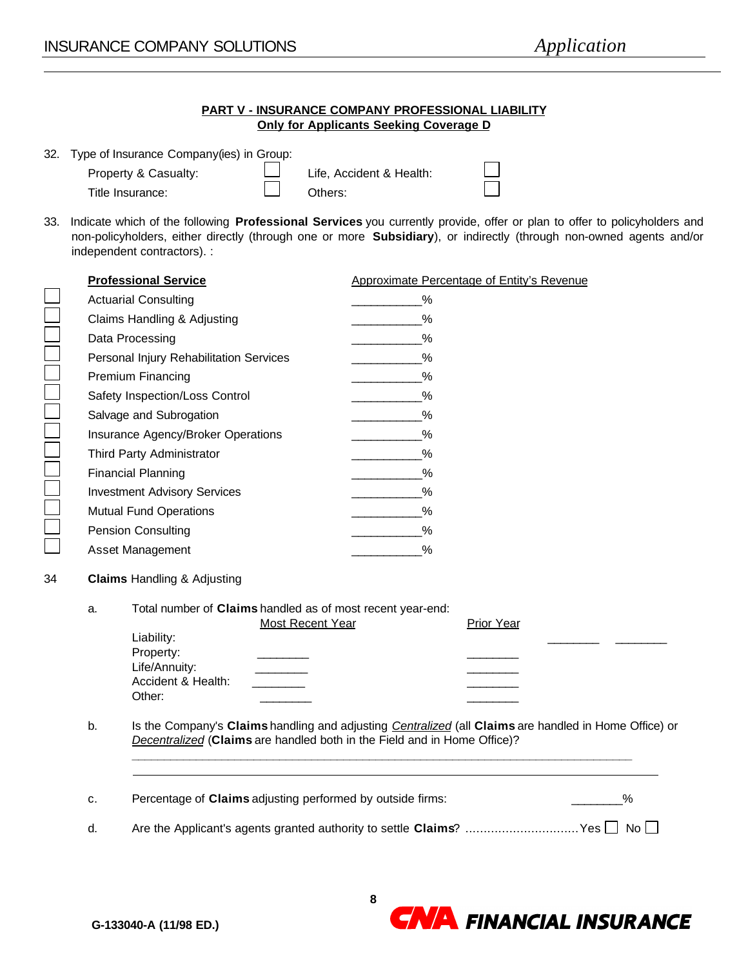|                 |    |                                                                                                                                                  | PART V - INSURANCE COMPANY PROFESSIONAL LIABILITY<br><b>Only for Applicants Seeking Coverage D</b>                                                                                                                                              |    |
|-----------------|----|--------------------------------------------------------------------------------------------------------------------------------------------------|-------------------------------------------------------------------------------------------------------------------------------------------------------------------------------------------------------------------------------------------------|----|
| 32.             |    | Type of Insurance Company(ies) in Group:<br>Property & Casualty:<br>Title Insurance:                                                             | Life, Accident & Health:<br>Others:                                                                                                                                                                                                             |    |
| 33.             |    | independent contractors). :                                                                                                                      | Indicate which of the following Professional Services you currently provide, offer or plan to offer to policyholders and<br>non-policyholders, either directly (through one or more Subsidiary), or indirectly (through non-owned agents and/or |    |
|                 |    | <b>Professional Service</b>                                                                                                                      | Approximate Percentage of Entity's Revenue                                                                                                                                                                                                      |    |
|                 |    | <b>Actuarial Consulting</b>                                                                                                                      | %                                                                                                                                                                                                                                               |    |
|                 |    | Claims Handling & Adjusting                                                                                                                      | %                                                                                                                                                                                                                                               |    |
|                 |    | Data Processing                                                                                                                                  | %                                                                                                                                                                                                                                               |    |
|                 |    | Personal Injury Rehabilitation Services                                                                                                          | $\%$                                                                                                                                                                                                                                            |    |
|                 |    | Premium Financing                                                                                                                                | %                                                                                                                                                                                                                                               |    |
|                 |    | Safety Inspection/Loss Control                                                                                                                   | %                                                                                                                                                                                                                                               |    |
|                 |    | Salvage and Subrogation                                                                                                                          | %                                                                                                                                                                                                                                               |    |
| Na popodobno po |    | Insurance Agency/Broker Operations                                                                                                               | %                                                                                                                                                                                                                                               |    |
|                 |    | Third Party Administrator                                                                                                                        | %                                                                                                                                                                                                                                               |    |
|                 |    | <b>Financial Planning</b>                                                                                                                        | %                                                                                                                                                                                                                                               |    |
|                 |    | <b>Investment Advisory Services</b>                                                                                                              | %                                                                                                                                                                                                                                               |    |
|                 |    | <b>Mutual Fund Operations</b>                                                                                                                    | $\%$                                                                                                                                                                                                                                            |    |
|                 |    | <b>Pension Consulting</b>                                                                                                                        | %                                                                                                                                                                                                                                               |    |
|                 |    | Asset Management                                                                                                                                 | %                                                                                                                                                                                                                                               |    |
| 34              |    | <b>Claims Handling &amp; Adjusting</b>                                                                                                           |                                                                                                                                                                                                                                                 |    |
|                 | a. | Total number of Claims handled as of most recent year-end:<br>Most Recent Year<br>Liability:<br>Property:<br>Life/Annuity:<br>Accident & Health: | <b>Prior Year</b>                                                                                                                                                                                                                               |    |
|                 | b. | Other:                                                                                                                                           | Is the Company's Claims handling and adjusting Centralized (all Claims are handled in Home Office) or<br>Decentralized (Claims are handled both in the Field and in Home Office)?                                                               |    |
|                 | c. | Percentage of Claims adjusting performed by outside firms:                                                                                       |                                                                                                                                                                                                                                                 | %  |
|                 | d. |                                                                                                                                                  | Are the Applicant's agents granted authority to settle Claims? Yes                                                                                                                                                                              | No |

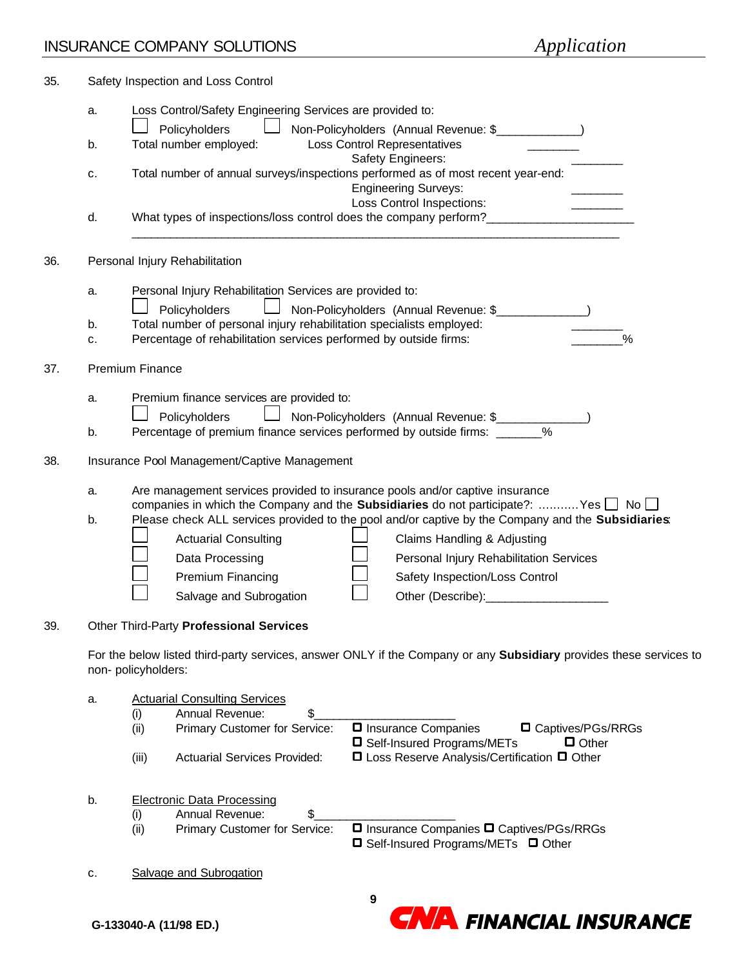| 35. |    | Safety Inspection and Loss Control                                                                                 |
|-----|----|--------------------------------------------------------------------------------------------------------------------|
|     | a. | Loss Control/Safety Engineering Services are provided to:                                                          |
|     |    | Policyholders<br>Non-Policyholders (Annual Revenue: \$______________)                                              |
|     | b. | Total number employed:<br>Loss Control Representatives                                                             |
|     |    | Safety Engineers:                                                                                                  |
|     | c. | Total number of annual surveys/inspections performed as of most recent year-end:                                   |
|     |    | <b>Engineering Surveys:</b>                                                                                        |
|     |    | Loss Control Inspections:                                                                                          |
|     | d. | What types of inspections/loss control does the company perform?                                                   |
| 36. |    | Personal Injury Rehabilitation                                                                                     |
|     |    |                                                                                                                    |
|     | а. | Personal Injury Rehabilitation Services are provided to:                                                           |
|     |    | Policyholders<br>Non-Policyholders (Annual Revenue: \$                                                             |
|     | b. | Total number of personal injury rehabilitation specialists employed:                                               |
|     | c. | $\frac{0}{0}$<br>Percentage of rehabilitation services performed by outside firms:                                 |
|     |    |                                                                                                                    |
| 37. |    | <b>Premium Finance</b>                                                                                             |
|     | a. | Premium finance services are provided to:                                                                          |
|     |    | Policyholders                                                                                                      |
|     | b. | $\frac{0}{0}$<br>Percentage of premium finance services performed by outside firms: ______                         |
|     |    |                                                                                                                    |
| 38. |    | Insurance Pool Management/Captive Management                                                                       |
|     | а. | Are management services provided to insurance pools and/or captive insurance                                       |
|     |    | companies in which the Company and the <b>Subsidiaries</b> do not participate?: Yes $\Box$ No $\Box$               |
|     | b. | Please check ALL services provided to the pool and/or captive by the Company and the Subsidiaries:                 |
|     |    | <b>Actuarial Consulting</b><br>Claims Handling & Adjusting                                                         |
|     |    | Data Processing<br>Personal Injury Rehabilitation Services                                                         |
|     |    |                                                                                                                    |
|     |    | Premium Financing<br>Safety Inspection/Loss Control                                                                |
|     |    | Salvage and Subrogation                                                                                            |
| 39. |    | Other Third-Party Professional Services                                                                            |
|     |    |                                                                                                                    |
|     |    | For the below listed third-party services, answer ONLY if the Company or any Subsidiary provides these services to |
|     |    | non-policyholders:                                                                                                 |
|     | a. | <b>Actuarial Consulting Services</b>                                                                               |
|     |    | <b>Annual Revenue:</b><br>\$<br>(i)                                                                                |
|     |    | <b><math>\Box</math></b> Insurance Companies<br>□ Captives/PGs/RRGs<br>Primary Customer for Service:<br>(ii)       |
|     |    | □ Self-Insured Programs/METs<br>$\Box$ Other                                                                       |
|     |    | □ Loss Reserve Analysis/Certification □ Other<br>(iii)<br><b>Actuarial Services Provided:</b>                      |
|     | b. |                                                                                                                    |
|     |    | <b>Electronic Data Processing</b><br>\$<br>Annual Revenue:<br>(i)                                                  |
|     |    | □ Insurance Companies □ Captives/PGs/RRGs<br>Primary Customer for Service:<br>(ii)                                 |
|     |    | □ Self-Insured Programs/METs □ Other                                                                               |
|     | c. | Salvage and Subrogation                                                                                            |
|     |    |                                                                                                                    |
|     |    | 9                                                                                                                  |

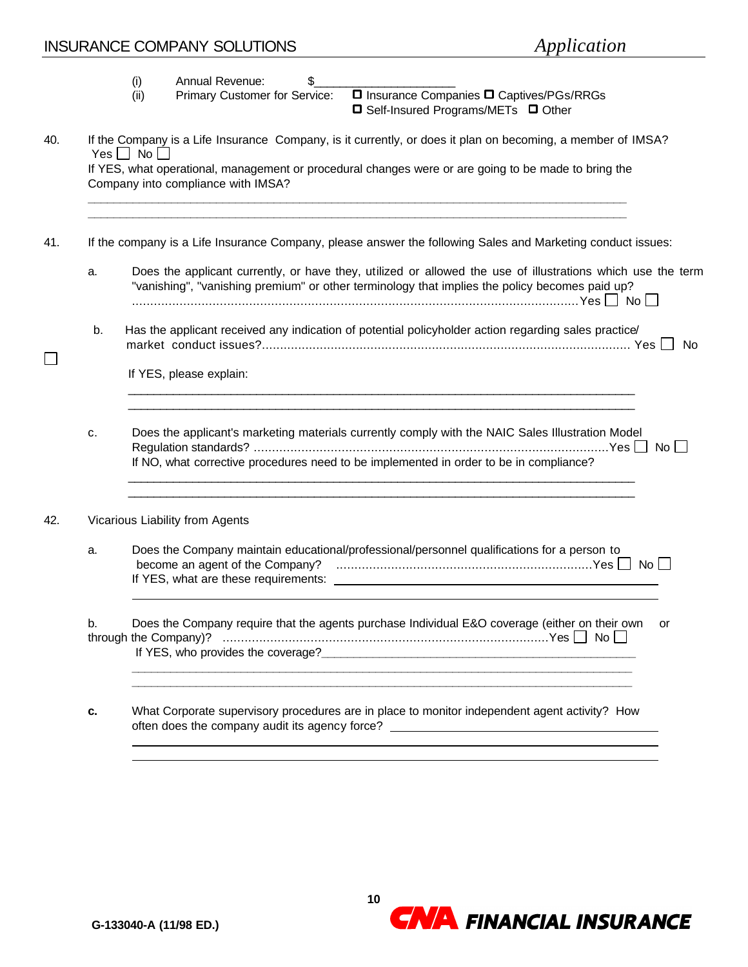## INSURANCE COMPANY SOLUTIONS *Application*

|    | וו זיטערער די זויירע בעזיון זייטער<br>$\mu$                                                                                                                                                                   |    |
|----|---------------------------------------------------------------------------------------------------------------------------------------------------------------------------------------------------------------|----|
|    | Annual Revenue:<br>\$<br>(i)                                                                                                                                                                                  |    |
|    | □ Insurance Companies □ Captives/PGs/RRGs<br>Primary Customer for Service:<br>(ii)<br>□ Self-Insured Programs/METs □ Other                                                                                    |    |
|    | If the Company is a Life Insurance Company, is it currently, or does it plan on becoming, a member of IMSA?<br>$Yes \Box No \Box$                                                                             |    |
|    | If YES, what operational, management or procedural changes were or are going to be made to bring the<br>Company into compliance with IMSA?                                                                    |    |
|    | If the company is a Life Insurance Company, please answer the following Sales and Marketing conduct issues:                                                                                                   |    |
| a. | Does the applicant currently, or have they, utilized or allowed the use of illustrations which use the term<br>"vanishing", "vanishing premium" or other terminology that implies the policy becomes paid up? |    |
| b. | Has the applicant received any indication of potential policyholder action regarding sales practice/                                                                                                          |    |
|    | If YES, please explain:                                                                                                                                                                                       |    |
| c. | Does the applicant's marketing materials currently comply with the NAIC Sales Illustration Model<br>If NO, what corrective procedures need to be implemented in order to be in compliance?                    |    |
|    | Vicarious Liability from Agents                                                                                                                                                                               |    |
| a. | Does the Company maintain educational/professional/personnel qualifications for a person to                                                                                                                   |    |
| b. | Does the Company require that the agents purchase Individual E&O coverage (either on their own<br>If YES, who provides the coverage?<br><u>If</u> YES, who provides the coverage?                             | or |
| c. | What Corporate supervisory procedures are in place to monitor independent agent activity? How<br>often does the company audit its agency force? _________________________________                             |    |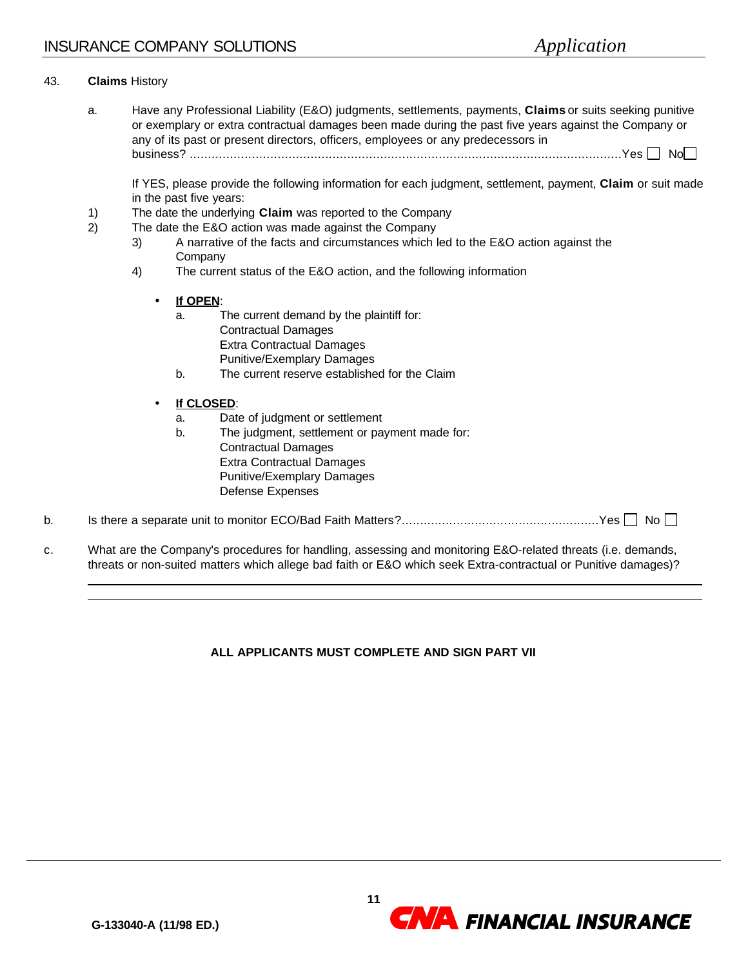### 43. **Claims** History

l l

a. Have any Professional Liability (E&O) judgments, settlements, payments, **Claims** or suits seeking punitive or exemplary or extra contractual damages been made during the past five years against the Company or any of its past or present directors, officers, employees or any predecessors in business? ......................................................................................................................Yes No

If YES, please provide the following information for each judgment, settlement, payment, **Claim** or suit made in the past five years:

- 1) The date the underlying **Claim** was reported to the Company
- 2) The date the E&O action was made against the Company
	- 3) A narrative of the facts and circumstances which led to the E&O action against the **Company**
	- 4) The current status of the E&O action, and the following information
		- **If OPEN**:
			- a. The current demand by the plaintiff for: Contractual Damages Extra Contractual Damages Punitive/Exemplary Damages
			- b. The current reserve established for the Claim

### • **If CLOSED**:

- a. Date of judgment or settlement
- b. The judgment, settlement or payment made for: Contractual Damages Extra Contractual Damages Punitive/Exemplary Damages Defense Expenses
- b. Is there a separate unit to monitor ECO/Bad Faith Matters?......................................................Yes No
- c. What are the Company's procedures for handling, assessing and monitoring E&O-related threats (i.e. demands, threats or non-suited matters which allege bad faith or E&O which seek Extra-contractual or Punitive damages)?

### **ALL APPLICANTS MUST COMPLETE AND SIGN PART VII**

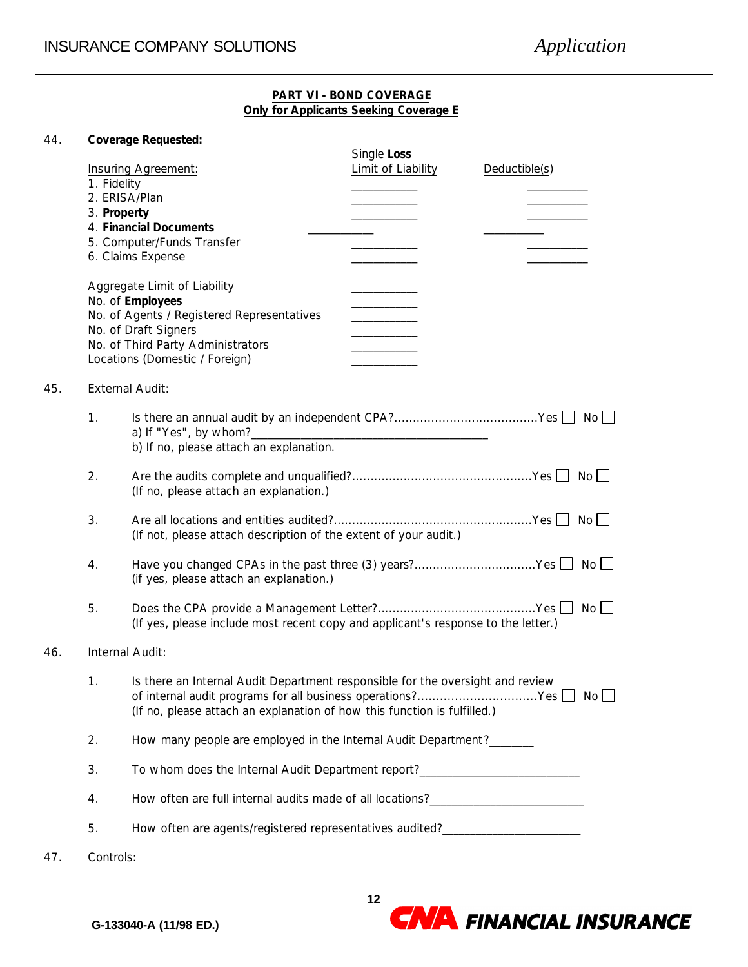### **PART VI - BOND COVERAGE Only for Applicants Seeking Coverage E**

### 44. **Coverage Requested:**

|     | 1. Fidelity<br>3. Property | <b>Insuring Agreement:</b><br>2. ERISA/Plan<br>4. Financial Documents<br>5. Computer/Funds Transfer<br>6. Claims Expense<br>Aggregate Limit of Liability<br>No. of Employees<br>No. of Agents / Registered Representatives<br>No. of Draft Signers<br>No. of Third Party Administrators<br>Locations (Domestic / Foreign) | Single Loss<br>Limit of Liability<br>$\frac{1}{2}$ . The set of the set of the set of the set of the set of the set of the set of the set of the set of the set of the set of the set of the set of the set of the set of the set of the set of the set of the set of | Deductible(s) |  |  |
|-----|----------------------------|---------------------------------------------------------------------------------------------------------------------------------------------------------------------------------------------------------------------------------------------------------------------------------------------------------------------------|-----------------------------------------------------------------------------------------------------------------------------------------------------------------------------------------------------------------------------------------------------------------------|---------------|--|--|
| 45. |                            | <b>External Audit:</b>                                                                                                                                                                                                                                                                                                    |                                                                                                                                                                                                                                                                       |               |  |  |
|     | 1.                         | b) If no, please attach an explanation.                                                                                                                                                                                                                                                                                   |                                                                                                                                                                                                                                                                       |               |  |  |
|     | 2.                         | (If no, please attach an explanation.)                                                                                                                                                                                                                                                                                    |                                                                                                                                                                                                                                                                       |               |  |  |
|     | 3.                         | (If not, please attach description of the extent of your audit.)                                                                                                                                                                                                                                                          |                                                                                                                                                                                                                                                                       |               |  |  |
|     | 4.                         | Have you changed CPAs in the past three (3) years?Yes □ No □<br>(if yes, please attach an explanation.)                                                                                                                                                                                                                   |                                                                                                                                                                                                                                                                       |               |  |  |
|     | 5.                         | (If yes, please include most recent copy and applicant's response to the letter.)                                                                                                                                                                                                                                         |                                                                                                                                                                                                                                                                       |               |  |  |
| 46. | Internal Audit:            |                                                                                                                                                                                                                                                                                                                           |                                                                                                                                                                                                                                                                       |               |  |  |
|     | 1.                         | Is there an Internal Audit Department responsible for the oversight and review<br>of internal audit programs for all business operations?Yes   No<br>(If no, please attach an explanation of how this function is fulfilled.)                                                                                             |                                                                                                                                                                                                                                                                       |               |  |  |
|     | 2.                         | How many people are employed in the Internal Audit Department?_______                                                                                                                                                                                                                                                     |                                                                                                                                                                                                                                                                       |               |  |  |
|     | 3.                         | To whom does the Internal Audit Department report?______________________________                                                                                                                                                                                                                                          |                                                                                                                                                                                                                                                                       |               |  |  |
|     | 4.                         |                                                                                                                                                                                                                                                                                                                           |                                                                                                                                                                                                                                                                       |               |  |  |
|     | 5.                         | How often are agents/registered representatives audited?________________________                                                                                                                                                                                                                                          |                                                                                                                                                                                                                                                                       |               |  |  |
| 47. | Controls:                  |                                                                                                                                                                                                                                                                                                                           |                                                                                                                                                                                                                                                                       |               |  |  |

**CNA** FINANCIAL INSURANCE

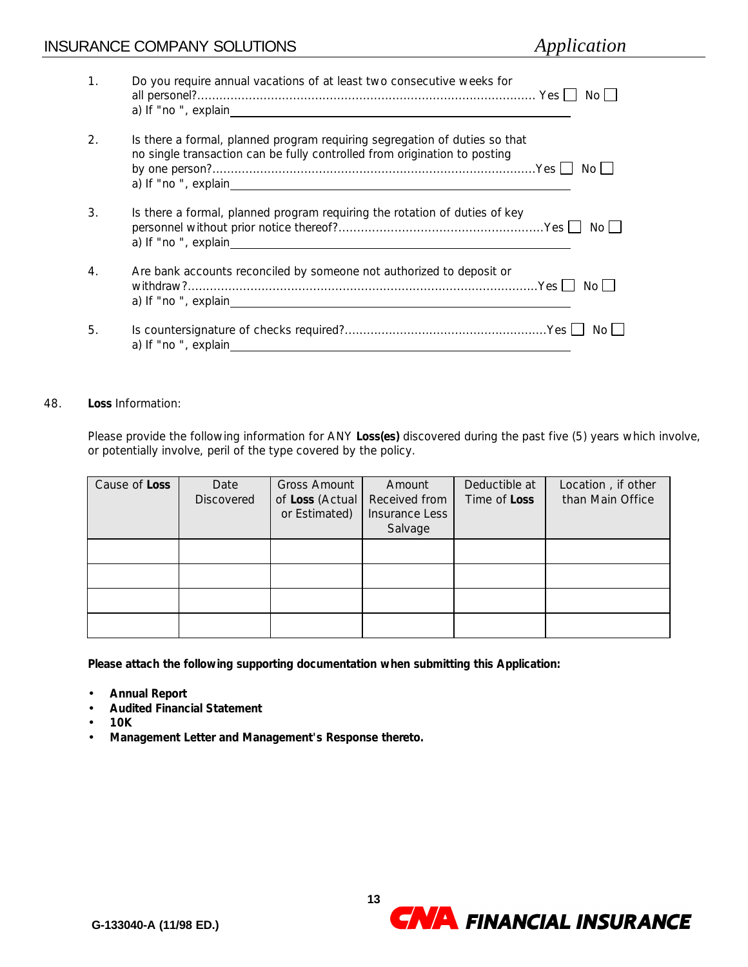### **INSURANCE COMPANY SOLUTIONS**

|  | Application |
|--|-------------|
|  |             |

| 1.                    | Do you require annual vacations of at least two consecutive weeks for<br>No Li                                                                                          |
|-----------------------|-------------------------------------------------------------------------------------------------------------------------------------------------------------------------|
| $\mathcal{D}_{\cdot}$ | Is there a formal, planned program requiring segregation of duties so that<br>no single transaction can be fully controlled from origination to posting<br>No L         |
| 3.                    | Is there a formal, planned program requiring the rotation of duties of key<br>No L<br>a) If "no ", explain<br><u> 1980 - John Stein, Amerikaansk politiker (* 1980)</u> |
| $\overline{4}$ .      | Are bank accounts reconciled by someone not authorized to deposit or<br>No L                                                                                            |
| 5.                    | No L<br>a) If "no ", explain                                                                                                                                            |

### 48. **Loss** Information:

Please provide the following information for ANY **Loss(es)** discovered during the past five (5) years which involve, or potentially involve, peril of the type covered by the policy.

| Cause of Loss | Date<br><b>Discovered</b> | <b>Gross Amount</b><br>of Loss (Actual<br>or Estimated) | Amount<br>Received from<br>Insurance Less<br>Salvage | Deductible at<br>Time of <b>Loss</b> | Location, if other<br>than Main Office |
|---------------|---------------------------|---------------------------------------------------------|------------------------------------------------------|--------------------------------------|----------------------------------------|
|               |                           |                                                         |                                                      |                                      |                                        |
|               |                           |                                                         |                                                      |                                      |                                        |
|               |                           |                                                         |                                                      |                                      |                                        |
|               |                           |                                                         |                                                      |                                      |                                        |

**Please attach the following supporting documentation when submitting this Application:**

- **Annual Report**
- **Audited Financial Statement**
- **10K**
- **Management Letter and Management's Response thereto.**

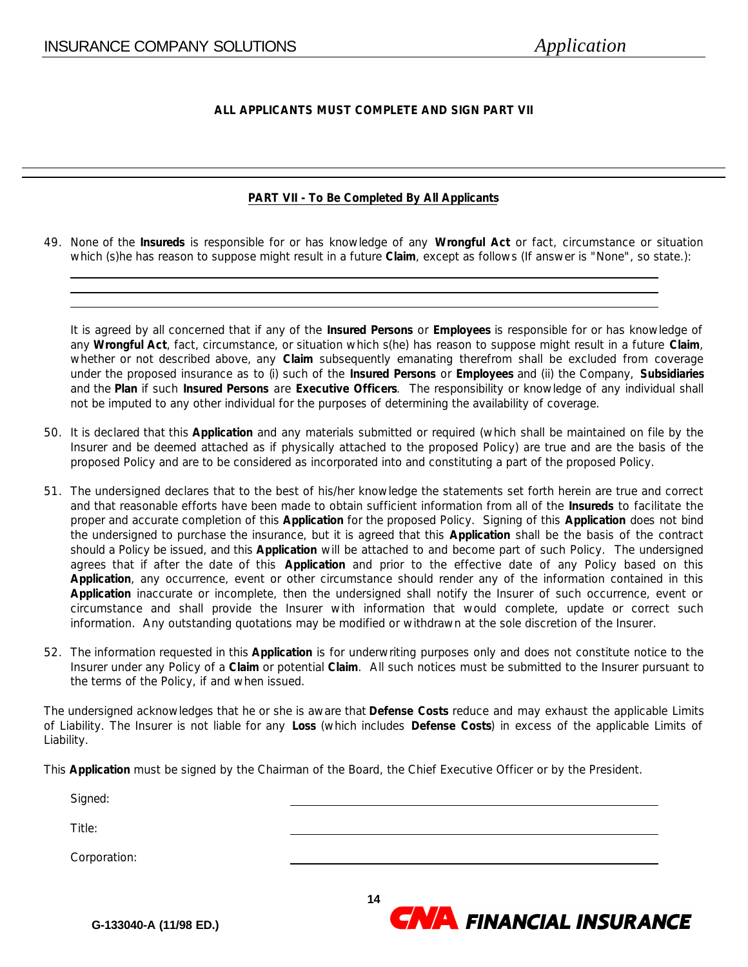### **ALL APPLICANTS MUST COMPLETE AND SIGN PART VII**

### **PART VII - To Be Completed By All Applicants**

49. None of the **Insureds** is responsible for or has knowledge of any **Wrongful Act** or fact, circumstance or situation which (s)he has reason to suppose might result in a future **Claim**, except as follows (If answer is "None", so state.):

It is agreed by all concerned that if any of the **Insured Persons** or **Employees** is responsible for or has knowledge of any **Wrongful Act**, fact, circumstance, or situation which s(he) has reason to suppose might result in a future **Claim**, whether or not described above, any **Claim** subsequently emanating therefrom shall be excluded from coverage under the proposed insurance as to (i) such of the **Insured Persons** or **Employees** and (ii) the Company, **Subsidiaries** and the **Plan** if such **Insured Persons** are **Executive Officers**. The responsibility or knowledge of any individual shall not be imputed to any other individual for the purposes of determining the availability of coverage.

- 50. It is declared that this **Application** and any materials submitted or required (which shall be maintained on file by the Insurer and be deemed attached as if physically attached to the proposed Policy) are true and are the basis of the proposed Policy and are to be considered as incorporated into and constituting a part of the proposed Policy.
- 51. The undersigned declares that to the best of his/her knowledge the statements set forth herein are true and correct and that reasonable efforts have been made to obtain sufficient information from all of the **Insureds** to facilitate the proper and accurate completion of this **Application** for the proposed Policy. Signing of this **Application** does not bind the undersigned to purchase the insurance, but it is agreed that this **Application** shall be the basis of the contract should a Policy be issued, and this **Application** will be attached to and become part of such Policy. The undersigned agrees that if after the date of this **Application** and prior to the effective date of any Policy based on this **Application**, any occurrence, event or other circumstance should render any of the information contained in this **Application** inaccurate or incomplete, then the undersigned shall notify the Insurer of such occurrence, event or circumstance and shall provide the Insurer with information that would complete, update or correct such information. Any outstanding quotations may be modified or withdrawn at the sole discretion of the Insurer.
- 52. The information requested in this **Application** is for underwriting purposes only and does not constitute notice to the Insurer under any Policy of a **Claim** or potential **Claim**. All such notices must be submitted to the Insurer pursuant to the terms of the Policy, if and when issued.

The undersigned acknowledges that he or she is aware that **Defense Costs** reduce and may exhaust the applicable Limits of Liability. The Insurer is not liable for any **Loss** (which includes **Defense Costs**) in excess of the applicable Limits of Liability.

This **Application** must be signed by the Chairman of the Board, the Chief Executive Officer or by the President.

Signed: Title: Corporation:

**CNA** FINANCIAL INSURANCE

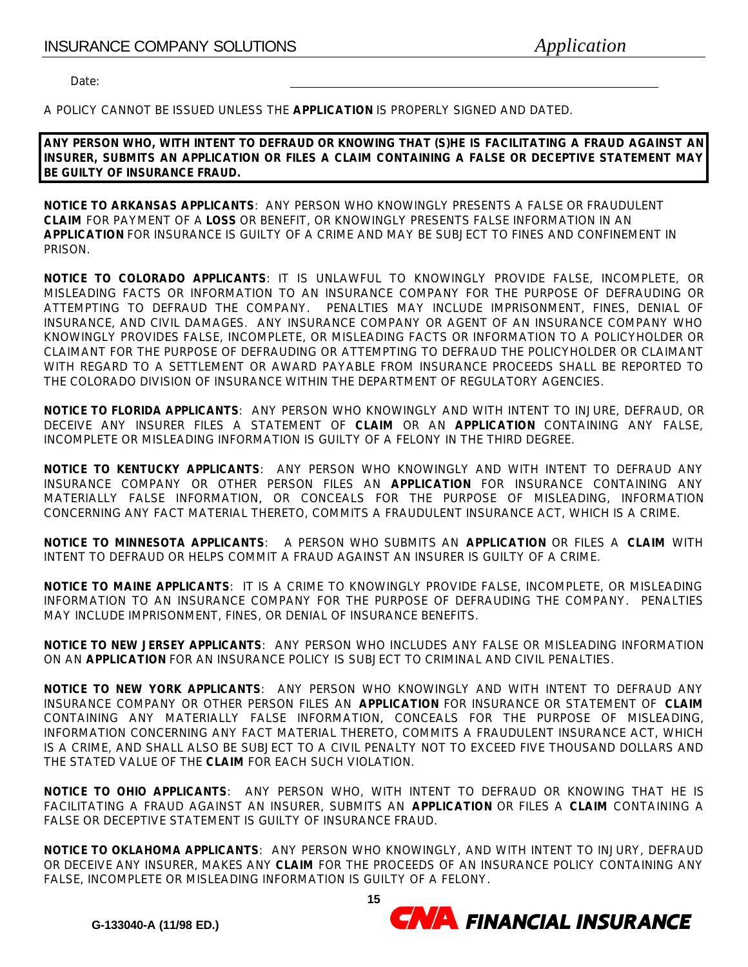Date:

A POLICY CANNOT BE ISSUED UNLESS THE **APPLICATION** IS PROPERLY SIGNED AND DATED.

**ANY PERSON WHO, WITH INTENT TO DEFRAUD OR KNOWING THAT (S)HE IS FACILITATING A FRAUD AGAINST AN INSURER, SUBMITS AN APPLICATION OR FILES A CLAIM CONTAINING A FALSE OR DECEPTIVE STATEMENT MAY BE GUILTY OF INSURANCE FRAUD.**

**NOTICE TO ARKANSAS APPLICANTS**: ANY PERSON WHO KNOWINGLY PRESENTS A FALSE OR FRAUDULENT **CLAIM** FOR PAYMENT OF A **LOSS** OR BENEFIT, OR KNOWINGLY PRESENTS FALSE INFORMATION IN AN **APPLICATION** FOR INSURANCE IS GUILTY OF A CRIME AND MAY BE SUBJECT TO FINES AND CONFINEMENT IN PRISON.

**NOTICE TO COLORADO APPLICANTS**: IT IS UNLAWFUL TO KNOWINGLY PROVIDE FALSE, INCOMPLETE, OR MISLEADING FACTS OR INFORMATION TO AN INSURANCE COMPANY FOR THE PURPOSE OF DEFRAUDING OR ATTEMPTING TO DEFRAUD THE COMPANY. PENALTIES MAY INCLUDE IMPRISONMENT, FINES, DENIAL OF INSURANCE, AND CIVIL DAMAGES. ANY INSURANCE COMPANY OR AGENT OF AN INSURANCE COMPANY WHO KNOWINGLY PROVIDES FALSE, INCOMPLETE, OR MISLEADING FACTS OR INFORMATION TO A POLICYHOLDER OR CLAIMANT FOR THE PURPOSE OF DEFRAUDING OR ATTEMPTING TO DEFRAUD THE POLICYHOLDER OR CLAIMANT WITH REGARD TO A SETTLEMENT OR AWARD PAYABLE FROM INSURANCE PROCEEDS SHALL BE REPORTED TO THE COLORADO DIVISION OF INSURANCE WITHIN THE DEPARTMENT OF REGULATORY AGENCIES.

**NOTICE TO FLORIDA APPLICANTS**: ANY PERSON WHO KNOWINGLY AND WITH INTENT TO INJURE, DEFRAUD, OR DECEIVE ANY INSURER FILES A STATEMENT OF **CLAIM** OR AN **APPLICATION** CONTAINING ANY FALSE, INCOMPLETE OR MISLEADING INFORMATION IS GUILTY OF A FELONY IN THE THIRD DEGREE.

**NOTICE TO KENTUCKY APPLICANTS**: ANY PERSON WHO KNOWINGLY AND WITH INTENT TO DEFRAUD ANY INSURANCE COMPANY OR OTHER PERSON FILES AN **APPLICATION** FOR INSURANCE CONTAINING ANY MATERIALLY FALSE INFORMATION, OR CONCEALS FOR THE PURPOSE OF MISLEADING, INFORMATION CONCERNING ANY FACT MATERIAL THERETO, COMMITS A FRAUDULENT INSURANCE ACT, WHICH IS A CRIME.

**NOTICE TO MINNESOTA APPLICANTS**: A PERSON WHO SUBMITS AN **APPLICATION** OR FILES A **CLAIM** WITH INTENT TO DEFRAUD OR HELPS COMMIT A FRAUD AGAINST AN INSURER IS GUILTY OF A CRIME.

**NOTICE TO MAINE APPLICANTS**: IT IS A CRIME TO KNOWINGLY PROVIDE FALSE, INCOMPLETE, OR MISLEADING INFORMATION TO AN INSURANCE COMPANY FOR THE PURPOSE OF DEFRAUDING THE COMPANY. PENALTIES MAY INCLUDE IMPRISONMENT, FINES, OR DENIAL OF INSURANCE BENEFITS.

**NOTICE TO NEW JERSEY APPLICANTS**: ANY PERSON WHO INCLUDES ANY FALSE OR MISLEADING INFORMATION ON AN **APPLICATION** FOR AN INSURANCE POLICY IS SUBJECT TO CRIMINAL AND CIVIL PENALTIES.

**NOTICE TO NEW YORK APPLICANTS**: ANY PERSON WHO KNOWINGLY AND WITH INTENT TO DEFRAUD ANY INSURANCE COMPANY OR OTHER PERSON FILES AN **APPLICATION** FOR INSURANCE OR STATEMENT OF **CLAIM** CONTAINING ANY MATERIALLY FALSE INFORMATION, CONCEALS FOR THE PURPOSE OF MISLEADING, INFORMATION CONCERNING ANY FACT MATERIAL THERETO, COMMITS A FRAUDULENT INSURANCE ACT, WHICH IS A CRIME, AND SHALL ALSO BE SUBJECT TO A CIVIL PENALTY NOT TO EXCEED FIVE THOUSAND DOLLARS AND THE STATED VALUE OF THE **CLAIM** FOR EACH SUCH VIOLATION.

**NOTICE TO OHIO APPLICANTS**: ANY PERSON WHO, WITH INTENT TO DEFRAUD OR KNOWING THAT HE IS FACILITATING A FRAUD AGAINST AN INSURER, SUBMITS AN **APPLICATION** OR FILES A **CLAIM** CONTAINING A FALSE OR DECEPTIVE STATEMENT IS GUILTY OF INSURANCE FRAUD.

**NOTICE TO OKLAHOMA APPLICANTS**: ANY PERSON WHO KNOWINGLY, AND WITH INTENT TO INJURY, DEFRAUD OR DECEIVE ANY INSURER, MAKES ANY **CLAIM** FOR THE PROCEEDS OF AN INSURANCE POLICY CONTAINING ANY FALSE, INCOMPLETE OR MISLEADING INFORMATION IS GUILTY OF A FELONY.